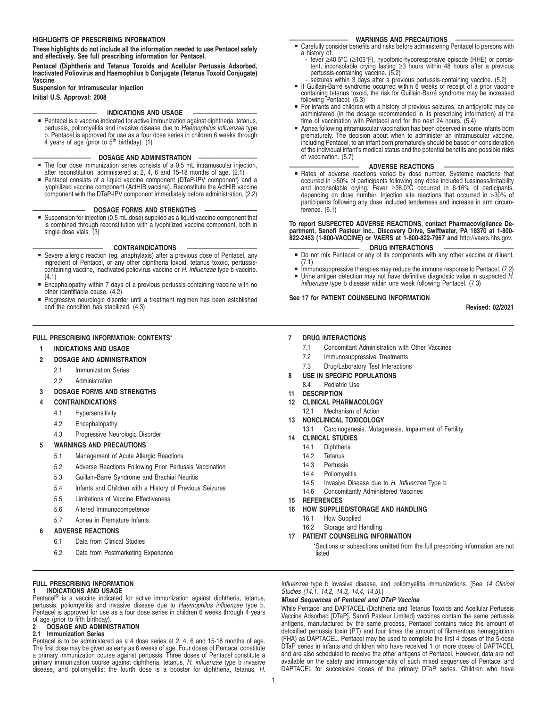## **HIGHLIGHTS OF PRESCRIBING INFORMATION**

**These highlights do not include all the information needed to use Pentacel safely and effectively. See full prescribing information for Pentacel.**

**Pentacel (Diphtheria and Tetanus Toxoids and Acellular Pertussis Adsorbed, Inactivated Poliovirus and Haemophilus b Conjugate (Tetanus Toxoid Conjugate) Vaccine**

**Suspension for Intramuscular Injection**

**Initial U.S. Approval: 2008**

## **INDICATIONS AND USAGE**

• Pentacel is a vaccine indicated for active immunization against diphtheria, tetanus, pertussis, poliomyelitis and invasive disease due to Haemophilus influenzae type b. Pentacel is approved for use as a four dose series in children 6 weeks through 4 years of age (prior to  $5<sup>th</sup>$  birthday). (1)

## **DOSAGE AND ADMINISTRATION**

- The four dose immunization series consists of a 0.5 mL intramuscular injection, after reconstitution, administered at 2, 4, 6 and 15-18 months of age. (2.1)
- Pentacel consists of a liquid vaccine component (DTaP-IPV component) and a lyophilized vaccine component (ActHIB vaccine). Reconstitute the ActHIB vaccine component with the DTaP-IPV component immediately before administration. (2.2)

## **DOSAGE FORMS AND STRENGTHS**

Suspension for injection (0.5 mL dose) supplied as a liquid vaccine component that is combined through reconstitution with a lyophilized vaccine component, both in single-dose vials. (3)

- **CONTRAINDICATIONS**<br>**Example 19 Severe allergic reaction (eg, anaphylaxis) after a previous dose of Pentacel, any<br>ingredient of Pentacel, or any other diphtheria toxoid, tetanus toxoid, pertussis-<br>containing vaccine, inact** (4.1)
- Encephalopathy within 7 days of a previous pertussis-containing vaccine with no<br>other identifiable cause. (4.2)
- Progressive neurologic disorder until a treatment regimen has been established and the condition has stabilized. (4.3)

## **FULL PRESCRIBING INFORMATION: CONTENTS**\*

## **1 INDICATIONS AND USAGE**

## **2 DOSAGE AND ADMINISTRATION**

- 2.1 Immunization Series
- 2.2 Administration

### **3 DOSAGE FORMS AND STRENGTHS**

#### **4 CONTRAINDICATIONS**

- 4.1 Hypersensitivity
- 4.2 Encephalopathy
- 4.3 Progressive Neurologic Disorder

#### **5 WARNINGS AND PRECAUTIONS**

- 5.1 Management of Acute Allergic Reactions
- 5.2 Adverse Reactions Following Prior Pertussis Vaccination
- 5.3 Guillain-Barré Syndrome and Brachial Neuritis
- 5.4 Infants and Children with a History of Previous Seizures
- 5.5 Limitations of Vaccine Effectiveness
- 5.6 Altered Immunocompetence
- 5.7 Apnea in Premature Infants

## **6 ADVERSE REACTIONS**

- 6.1 Data from Clinical Studies
- 6.2 Data from Postmarketing Experience

## **FULL PRESCRIBING INFORMATION**

## **1 INDICATIONS AND USAGE**

Pentacel<sup>®</sup> is a vaccine indicated for active immunization against diphtheria, tetanus, pertussis, poliomyelitis and invasive disease due to *Haemophilus influenzae* type b.<br>Pentacel is approved for use as a four dose series in children 6 weeks through 4 years of age (prior to fifth birthday)<br>2 DOSAGE AND ADMINI

#### **2 DOSAGE AND ADMINISTRATION**

#### **2.1 Immunization Series**

Pentacel is to be administered as a 4 dose series at 2, 4, 6 and 15-18 months of age. The first dose may be given as early as 6 weeks of age. Four doses of Pentacel constitute a primary immunization course against pertussis. Three doses of Pentacel constitute a primary immunization course against diphtheria, tetanus, H. influenzae type b invasive disease, and poliomyelitis; the fourth dose is a booster for diphtheria, tetanus, H.

- **—————————— WARNINGS AND PRECAUTIONS ——————————** Carefully consider benefits and risks before administering Pentacel to persons with a history of:
	- fever ≥40.5°C (≥105°F), hypotonic-hyporesponsive episode (HHE) or persis-tent, inconsolable crying lasting ≥3 hours within 48 hours after a previous pertussis-containing vaccine. (5.2)
	- seizures within 3 days after a previous pertussis-containing vaccine. (5.2)
- **F** If Guillain-Barré syndrome occurred within 6 weeks of receipt of a prior vaccine containing tetanus toxoid, the risk for Guillain-Barré syndrome may be increased following Pentacel. (5.3)
- For infants and children with a history of previous seizures, an antipyretic may be administered (in the dosage recommended in its prescribing information) at the time of vaccination with Pentacel and for the next 24 hours. (5.4)
- Apnea following intramuscular vaccination has been observed in some infants born prematurely. The decision about when to administer an intramuscular vaccine, including Pentacel, to an infant born prematurely should be based on consideration of the individual infant's medical status and the potential benefits and possible risks of vaccination. (5.7)

## **ADVERSE REACTIONS**

**Example 3** Rates of adverse reactions varied by dose number. Systemic reactions that occurred in >50% of participants following any dose included fussiness/irritability and inconsolable crying. Fever ≥38.0°C occurred in 6-16% of participants, depending on dose number. Injection site reactions that occurred in >30% of participants following any dose included tenderness and increase in arm circumference. (6.1)

## **To report SUSPECTED ADVERSE REACTIONS, contact Pharmacovigilance Department, Sanofi Pasteur Inc., Discovery Drive, Swiftwater, PA 18370 at 1-800- 822-2463 (1-800-VACCINE) or VAERS at 1-800-822-7967 and** http://vaers.hhs.gov.

- **———————————— DRUG INTERACTIONS ————————————** Á Do not mix Pentacel or any of its components with any other vaccine or diluent. (7.1)
	- Immunosuppressive therapies may reduce the immune response to Pentacel. (7.2)
- Urine antigen detection may not have definitive diagnostic value in suspected H. influenzae type b disease within one week following Pentacel. (7.3)

## **See 17 for PATIENT COUNSELING INFORMATION**

**Revised: 02/2021**

## **7 DRUG INTERACTIONS**

- 7.1 Concomitant Administration with Other Vaccines
- 7.2 Immunosuppressive Treatments
- 7.3 Drug/Laboratory Test Interactions
- **8 USE IN SPECIFIC POPULATIONS**
	- 8.4 Pediatric Use
- **11 DESCRIPTION**
- **12 CLINICAL PHARMACOLOGY**
- 12.1 Mechanism of Action

## **13 NONCLINICAL TOXICOLOGY**

- 13.1 Carcinogenesis, Mutagenesis, Impairment of Fertility
- **14 CLINICAL STUDIES**
	- 14.1 Diphtheria
	- 14.2 Tetanus
	- 14.3 Pertussis
	- 14.4 Poliomyelitis
	- 14.5 Invasive Disease due to H. Influenzae Type b
	- 14.6 Concomitantly Administered Vaccines
- **15 REFERENCES**
- **16 HOW SUPPLIED/STORAGE AND HANDLING**
	- 16.1 How Supplied
	- 16.2 Storage and Handling
- **17 PATIENT COUNSELING INFORMATION**

\*Sections or subsections omitted from the full prescribing information are not listed

influenzae type b invasive disease, and poliomyelitis immunizations. [See 14 Clinical Studies (14.1, 14.2, 14.3, 14.4, 14.5).]

## **Mixed Sequences of Pentacel and DTaP Vaccine**

While Pentacel and DAPTACEL (Diphtheria and Tetanus Toxoids and Acellular Pertussis Vaccine Adsorbed [DTaP], Sanofi Pasteur Limited) vaccines contain the same pertussis antigens, manufactured by the same process, Pentacel contains twice the amount of detoxified pertussis toxin (PT) and four times the amount of filamentous hemagglutinin (FHA) as DAPTACEL. Pentacel may be used to complete the first 4 doses of the 5-dose DTaP series in infants and children who have received 1 or more doses of DAPTACEL and are also scheduled to receive the other antigens of Pentacel. However, data are not available on the safety and immunogenicity of such mixed sequences of Pentacel and DAPTACEL for successive doses of the primary DTaP series. Children who have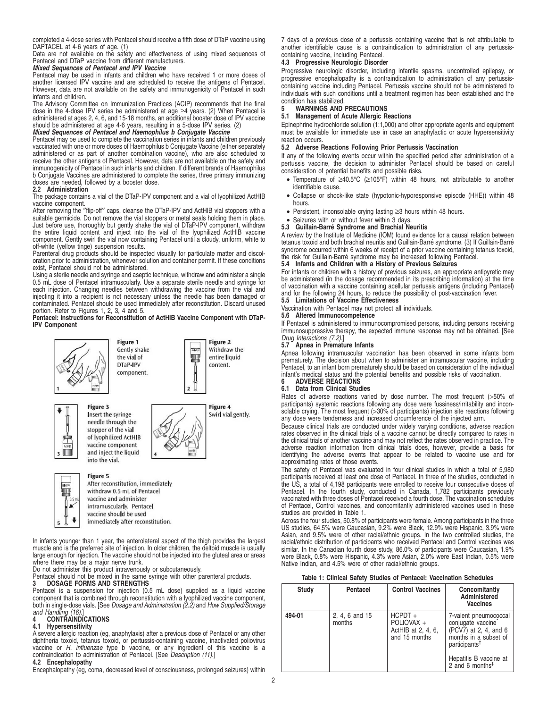completed a 4-dose series with Pentacel should receive a fifth dose of DTaP vaccine using DAPTACEL at 4-6 years of age. (1)

Data are not available on the safety and effectiveness of using mixed sequences of Pentacel and DTaP vaccine from different manufacturers. **Mixed Sequences of Pentacel and IPV Vaccine**

Pentacel may be used in infants and children who have received 1 or more doses of another licensed IPV vaccine and are scheduled to receive the antigens of Pentacel. However, data are not available on the safety and immunogenicity of Pentacel in such infants and children.

The Advisory Committee on Immunization Practices (ACIP) recommends that the final dose in the 4-dose IPV series be administered at age ≥4 years. (2) When Pentacel is administered at ages 2, 4, 6, and 15-18 months, an additional booster dose of IPV vaccine should be administered at age 4-6 years, resulting in a 5-dose IPV series. (2)

## **Mixed Sequences of Pentacel and Haemophilus b Conjugate Vaccine**

Pentacel may be used to complete the vaccination series in infants and children previously vaccinated with one or more doses of Haemophilus b Conjugate Vaccine (either separately administered or as part of another combination vaccine), who are also scheduled to receive the other antigens of Pentacel. However, data are not available on the safety and immunogenicity of Pentacel in such infants and children. If different brands of Haemophilus b Conjugate Vaccines are administered to complete the series, three primary immunizing doses are needed, followed by a booster dose.

## **2.2 Administration**

The package contains a vial of the DTaP-IPV component and a vial of lyophilized ActHIB vaccine component.

After removing the "flip-off" caps, cleanse the DTaP-IPV and ActHIB vial stoppers with a suitable germicide. Do not remove the vial stoppers or metal seals holding them in place.<br>Just before use, thoroughly but gently shak component. Gently swirl the vial now containing Pentacel until a cloudy, uniform, white to off-white (yellow tinge) suspension results. Parenteral drug products should be inspected visually for particulate matter and discol-

oration prior to administration, whenever solution and container permit. If these conditions exist, Pentacel should not be administered.

Using a sterile needle and syringe and aseptic technique, withdraw and administer a single 0.5 mL dose of Pentacel intramuscularly. Use a separate sterile needle and syringe for each injection. Changing needles between withdrawing the vaccine from the vial and injecting it into a recipient is not necessary unless the needle has been damaged or contaminated. Pentacel should be used immediately after reconstitution. Discard unused portion. Refer to Figures 1, 2, 3, 4 and 5.

**Pentacel: Instructions for Reconstitution of ActHIB Vaccine Component with DTaP-IPV Component**





Figure 3 Insert the syringe needle through the stopper of the vial of lyophilized ActHIB vaccine component and inject the liquid



П

into the vial. Figure 5



Figure 4 Swirl vial gently.

Figure 2

content

Withdraw the

entire liquid

 $\ddot{\phantom{0}}$ immediately after reconstitution. In infants younger than 1 year, the anterolateral aspect of the thigh provides the largest muscle and is the preferred site of injection. In older children, the deltoid muscle is usually large enough for injection. The vaccine should not be injected into the gluteal area or areas

where there may be a major nerve trunk. Do not administer this product intravenously or subcutaneously.

# Pentacel should not be mixed in the same syringe with other parenteral products. **3 DOSAGE FORMS AND STRENGTHS**

Pentacel is a suspension for injection (0.5 mL dose) supplied as a liquid vaccine component that is combined through reconstitution with a lyophilized vaccine component,<br>both in single-dose vials. [See *Dosage and Administration (2.2)* and *How Supplied/Storage* 

# and Handling (16).] **4 CONTRAINDICATIONS**

## **4.1 Hypersensitivity**

A severe allergic reaction (eg, anaphylaxis) after a previous dose of Pentacel or any other<br>diphtheria toxoid, tetanus toxoid, or pertussis-containing vaccine, inactivated poliovirus<br>vaccine or *H. influenzae t*ype b vacci contraindication to administration of Pentacel. [See *Description (11)*.]

## **4.2 Encephalopathy**

Encephalopathy (eg, coma, decreased level of consciousness, prolonged seizures) within

7 days of a previous dose of a pertussis containing vaccine that is not attributable to another identifiable cause is a contraindication to administration of any pertussiscontaining vaccine, including Pentacel.

## **4.3 Progressive Neurologic Disorder**

Progressive neurologic disorder, including infantile spasms, uncontrolled epilepsy, or progressive encephalopathy is a contraindication to administration of any pertussiscontaining vaccine including Pentacel. Pertussis vaccine should not be administered to individuals with such conditions until a treatment regimen has been established and the condition has stabilized.

## **5 WARNINGS AND PRECAUTIONS**

**5.1 Management of Acute Allergic Reactions**

Epinephrine hydrochloride solution (1:1,000) and other appropriate agents and equipment must be available for immediate use in case an anaphylactic or acute hypersensitivity reaction occurs.

## **5.2 Adverse Reactions Following Prior Pertussis Vaccination**

If any of the following events occur within the specified period after administration of a pertussis vaccine, the decision to administer Pentacel should be based on careful consideration of potential benefits and possible risks.

- Temperature of ≥40.5°C (≥105°F) within 48 hours, not attributable to another identifiable cause.
- Collapse or shock-like state (hypotonic-hyporesponsive episode (HHE)) within 48 hours.
- Persistent, inconsolable crying lasting ≥3 hours within 48 hours.
- Seizures with or without fever within 3 days.
- **5.3 Guillain-Barré Syndrome and Brachial Neuritis**

A review by the Institute of Medicine (IOM) found evidence for a causal relation between tetanus toxoid and both brachial neuritis and Guillain-Barré syndrome. (3) If Guillain-Barré syndrome occurred within 6 weeks of receipt of a prior vaccine containing tetanus toxoid, the risk for Guillain-Barré syndrome may be increased following Pentacel.

## **5.4 Infants and Children with a History of Previous Seizures**

For infants or children with a history of previous seizures, an appropriate antipyretic may be administered (in the dosage recommended in its prescribing information) at the time of vaccination with a vaccine containing acellular pertussis antigens (including Pentacel) and for the following 24 hours, to reduce the possibility of post-vaccination fever. **5.5 Limitations of Vaccine Effectiveness**

Vaccination with Pentacel may not protect all individuals.

## **5.6 Altered Immunocompetence**

If Pentacel is administered to immunocompromised persons, including persons receiving immunosuppressive therapy, the expected immune response may not be obtained. [See

# Drug Interactions (7.2).] **5.7 Apnea in Premature Infants**

Apnea following intramuscular vaccination has been observed in some infants born prematurely. The decision about when to administer an intramuscular vaccine, including Pentacel, to an infant born prematurely should be based on consideration of the individual infant's medical status and the potential benefits and possible risks of vaccination.

## **6 ADVERSE REACTIONS**

## **6.1 Data from Clinical Studies**

Rates of adverse reactions varied by dose number. The most frequent (>50% of participants) systemic reactions following any dose were fussiness/irritability and incon-<br>solable crying. The most frequent (>30% of participants) injection site reactions following<br>any dose were tenderness and increased

Because clinical trials are conducted under widely varying conditions, adverse reaction rates observed in the clinical trials of a vaccine cannot be directly compared to rates in the clinical trials of another vaccine and may not reflect the rates observed in practice. The adverse reaction information from clinical trials does, however, provide a basis for identifying the adverse events that appear to be related to vaccine use and for approximating rates of those events.

The safety of Pentacel was evaluated in four clinical studies in which a total of 5,980 participants received at least one dose of Pentacel. In three of the studies, conducted in the US, a total of 4,198 participants were enrolled to receive four consecutive doses of Pentacel. In the fourth study, conducted in Canada, 1,782 participants previously vaccinated with three doses of Pentacel received a fourth dose. The vaccination schedules of Pentacel, Control vaccines, and concomitantly administered vaccines used in these studies are provided in Table 1.

Across the four studies, 50.8% of participants were female. Among participants in the three US studies, 64.5% were Caucasian, 9.2% were Black, 12.9% were Hispanic, 3.9% were Asian, and 9.5% were of other racial/ethnic groups. In the two controlled studies, the racial/ethnic distribution of participants who received Pentacel and Control vaccines was similar. In the Canadian fourth dose study, 86.0% of participants were Caucasian, 1.9%<br>were Black, 0.8% were Hispanic, 4.3% were Asian, 2.0% were East Indian, 0.5% were<br>Native Indian, and 4.5% were of other racial/ethnic g

| Table 1: Clinical Safety Studies of Pentacel: Vaccination Schedules |  |  |  |  |
|---------------------------------------------------------------------|--|--|--|--|
|---------------------------------------------------------------------|--|--|--|--|

| Study  | Pentacel                 | <b>Control Vaccines</b>                                        | Concomitantly<br>Administered<br><b>Vaccines</b>                                                                                  |
|--------|--------------------------|----------------------------------------------------------------|-----------------------------------------------------------------------------------------------------------------------------------|
| 494-01 | 2, 4, 6 and 15<br>months | $HCPDT +$<br>POLIOVAX +<br>ActHIB at 2, 4, 6,<br>and 15 months | 7-valent pneumococcal<br>conjugate vaccine<br>$(PCV\bar{7})$ at 2, 4, and 6<br>months in a subset of<br>participants <sup>†</sup> |
|        |                          |                                                                | Hepatitis B vaccine at<br>2 and 6 months <sup><math>‡</math></sup>                                                                |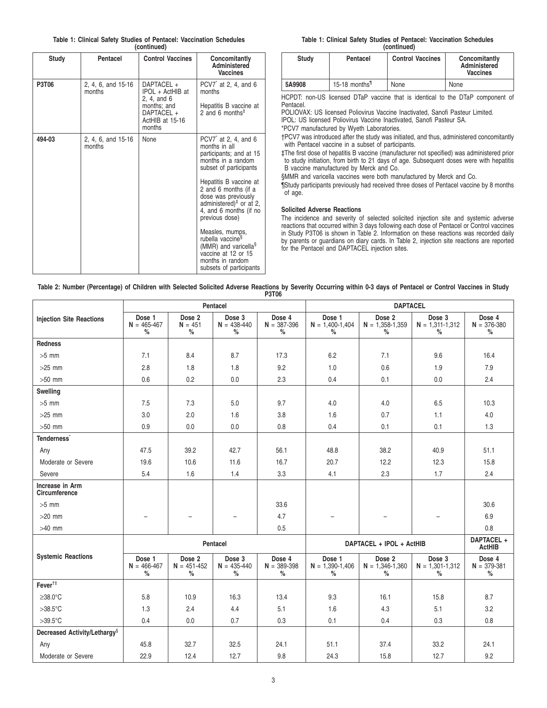|  |  |  |             | Table 1: Clinical Safety Studies of Pentacel: Vaccination Schedules |  |
|--|--|--|-------------|---------------------------------------------------------------------|--|
|  |  |  | (continued) |                                                                     |  |

| Study  | Pentacel                     | <b>Control Vaccines</b>                                                                                 | Concomitantly<br>Administered<br><b>Vaccines</b>                                                                                                                                                                                                                                                                                                                                                                                                                   |
|--------|------------------------------|---------------------------------------------------------------------------------------------------------|--------------------------------------------------------------------------------------------------------------------------------------------------------------------------------------------------------------------------------------------------------------------------------------------------------------------------------------------------------------------------------------------------------------------------------------------------------------------|
| P3T06  | 2, 4, 6, and 15-16<br>months | DAPTACEL +<br>IPOL + ActHIB at<br>2, 4, and 6<br>months; and<br>DAPTACEL +<br>ActHIB at 15-16<br>months | PCV7 $\hat{ }$ at 2, 4, and 6<br>months<br>Hepatitis B vaccine at<br>2 and 6 months <sup><math>‡</math></sup>                                                                                                                                                                                                                                                                                                                                                      |
| 494-03 | 2, 4, 6, and 15-16<br>months | None                                                                                                    | PCV7 <sup>*</sup> at 2, 4, and 6<br>months in all<br>participants; and at 15<br>months in a random<br>subset of participants<br>Hepatitis B vaccine at<br>2 and 6 months (if a<br>dose was previously<br>administered) <sup><math>#</math></sup> or at 2,<br>4, and 6 months (if no<br>previous dose)<br>Measles, mumps,<br>rubella vaccine <sup>§</sup><br>(MMR) and varicella <sup>§</sup><br>vaccine at 12 or 15<br>months in random<br>subsets of participants |

**Table 1: Clinical Safety Studies of Pentacel: Vaccination Schedules (continued)**

| <b>Study</b> | Pentacel                  | <b>Control Vaccines</b> | Concomitantly<br>Administered<br><b>Vaccines</b> |
|--------------|---------------------------|-------------------------|--------------------------------------------------|
| 5A9908       | 15-18 months <sup>1</sup> | None                    | None                                             |

HCPDT: non-US licensed DTaP vaccine that is identical to the DTaP component of Pentacel.

POLIOVAX: US licensed Poliovirus Vaccine Inactivated, Sanofi Pasteur Limited. IPOL: US licensed Poliovirus Vaccine Inactivated, Sanofi Pasteur SA.

\*PCV7 manufactured by Wyeth Laboratories.

†PCV7 was introduced after the study was initiated, and thus, administered concomitantly with Pentacel vaccine in a subset of participants.

‡The first dose of hepatitis B vaccine (manufacturer not specified) was administered prior to study initiation, from birth to 21 days of age. Subsequent doses were with hepatitis B vaccine manufactured by Merck and Co.

§MMR and varicella vaccines were both manufactured by Merck and Co.

¶Study participants previously had received three doses of Pentacel vaccine by 8 months of age.

## **Solicited Adverse Reactions**

The incidence and severity of selected solicited injection site and systemic adverse reactions that occurred within 3 days following each dose of Pentacel or Control vaccines in Study P3T06 is shown in Table 2. Information on these reactions was recorded daily by parents or guardians on diary cards. In Table 2, injection site reactions are reported for the Pentacel and DAPTACEL injection sites.

| Table 2: Number (Percentage) of Children with Selected Solicited Adverse Reactions by Severity Occurring within 0-3 days of Pentacel or Control Vaccines in Study |  |              |  |  |  |
|-------------------------------------------------------------------------------------------------------------------------------------------------------------------|--|--------------|--|--|--|
|                                                                                                                                                                   |  | <b>P3T06</b> |  |  |  |

|                                          | Pentacel                          |                                   |                                   |                                | <b>DAPTACEL</b>                     |                                                |                                     |                                |
|------------------------------------------|-----------------------------------|-----------------------------------|-----------------------------------|--------------------------------|-------------------------------------|------------------------------------------------|-------------------------------------|--------------------------------|
| <b>Injection Site Reactions</b>          | Dose 1<br>$N = 465 - 467$<br>$\%$ | Dose 2<br>$N = 451$<br>$\%$       | Dose 3<br>$N = 438 - 440$<br>$\%$ | Dose 4<br>$N = 387 - 396$<br>℅ | Dose 1<br>$N = 1,400-1,404$<br>$\%$ | Dose 2<br>$N = 1,358 - 1,359$<br>$\%$          | Dose 3<br>$N = 1,311-1,312$<br>$\%$ | Dose 4<br>$N = 376 - 380$<br>% |
| <b>Redness</b>                           |                                   |                                   |                                   |                                |                                     |                                                |                                     |                                |
| $>5$ mm                                  | 7.1                               | 8.4                               | 8.7                               | 17.3                           | 6.2                                 | 7.1                                            | 9.6                                 | 16.4                           |
| $>25$ mm                                 | 2.8                               | 1.8                               | 1.8                               | 9.2                            | 1.0                                 | 0.6                                            | 1.9                                 | 7.9                            |
| $>50$ mm                                 | 0.6                               | 0.2                               | 0.0                               | 2.3                            | 0.4                                 | 0.1                                            | 0.0                                 | 2.4                            |
| Swelling                                 |                                   |                                   |                                   |                                |                                     |                                                |                                     |                                |
| $>5$ mm                                  | 7.5                               | 7.3                               | 5.0                               | 9.7                            | 4.0                                 | 4.0                                            | 6.5                                 | 10.3                           |
| $>25$ mm                                 | 3.0                               | 2.0                               | 1.6                               | 3.8                            | 1.6                                 | 0.7                                            | 1.1                                 | 4.0                            |
| $>50$ mm                                 | 0.9                               | 0.0                               | 0.0                               | 0.8                            | 0.4                                 | 0.1                                            | 0.1                                 | 1.3                            |
| Tenderness <sup>*</sup>                  |                                   |                                   |                                   |                                |                                     |                                                |                                     |                                |
| Any                                      | 47.5                              | 39.2                              | 42.7                              | 56.1                           | 48.8                                | 38.2                                           | 40.9                                | 51.1                           |
| Moderate or Severe                       | 19.6                              | 10.6                              | 11.6                              | 16.7                           | 20.7                                | 12.2                                           | 12.3                                | 15.8                           |
| Severe                                   | 5.4                               | 1.6                               | 1.4                               | 3.3                            | 4.1                                 | 2.3                                            | 1.7                                 | 2.4                            |
| Increase in Arm<br><b>Circumference</b>  |                                   |                                   |                                   |                                |                                     |                                                |                                     |                                |
| $>5$ mm                                  |                                   |                                   |                                   | 33.6                           |                                     |                                                |                                     | 30.6                           |
| $>20$ mm                                 | $\overline{\phantom{0}}$          | $\overline{\phantom{a}}$          | $\overline{\phantom{m}}$          | 4.7                            | $\overline{\phantom{m}}$            |                                                | $\overline{a}$                      | 6.9                            |
| $>40$ mm                                 |                                   |                                   |                                   | 0.5                            |                                     |                                                |                                     | 0.8                            |
|                                          |                                   |                                   | Pentacel                          |                                |                                     | DAPTACEL + IPOL + ActHIB                       |                                     | DAPTACEL +<br><b>ActHIB</b>    |
| <b>Systemic Reactions</b>                | Dose 1<br>$N = 466 - 467$<br>$\%$ | Dose 2<br>$N = 451 - 452$<br>$\%$ | Dose 3<br>$N = 435 - 440$<br>$\%$ | Dose 4<br>$N = 389 - 398$<br>% | Dose 1<br>$N = 1,390-1,406$<br>$\%$ | Dose <sub>2</sub><br>$N = 1,346-1,360$<br>$\%$ | Dose 3<br>$N = 1,301-1,312$<br>$\%$ | Dose 4<br>$N = 379 - 381$<br>% |
| Fever <sup>t#</sup>                      |                                   |                                   |                                   |                                |                                     |                                                |                                     |                                |
| $\geq$ 38.0°C                            | 5.8                               | 10.9                              | 16.3                              | 13.4                           | 9.3                                 | 16.1                                           | 15.8                                | 8.7                            |
| $>38.5^{\circ}$ C                        | 1.3                               | 2.4                               | 4.4                               | 5.1                            | 1.6                                 | 4.3                                            | 5.1                                 | 3.2                            |
| $>39.5^{\circ}$ C                        | 0.4                               | 0.0                               | 0.7                               | 0.3                            | 0.1                                 | 0.4                                            | 0.3                                 | 0.8                            |
| Decreased Activity/Lethargy <sup>§</sup> |                                   |                                   |                                   |                                |                                     |                                                |                                     |                                |
| Any                                      | 45.8                              | 32.7                              | 32.5                              | 24.1                           | 51.1                                | 37.4                                           | 33.2                                | 24.1                           |
| Moderate or Severe                       | 22.9                              | 12.4                              | 12.7                              | 9.8                            | 24.3                                | 15.8                                           | 12.7                                | 9.2                            |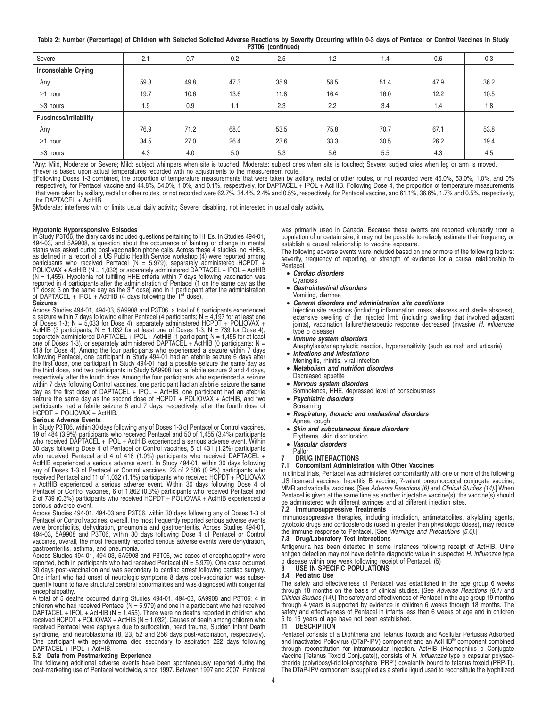**Table 2: Number (Percentage) of Children with Selected Solicited Adverse Reactions by Severity Occurring within 0-3 days of Pentacel or Control Vaccines in Study P3T06 (continued)**

| <b>IVIVY IVVIIIIIIWVY</b>     |      |      |      |      |      |      |      |      |  |
|-------------------------------|------|------|------|------|------|------|------|------|--|
| Severe                        | 2.1  | 0.7  | 0.2  | 2.5  | 1.2  | 1.4  | 0.6  | 0.3  |  |
| <b>Inconsolable Crying</b>    |      |      |      |      |      |      |      |      |  |
| Any                           | 59.3 | 49.8 | 47.3 | 35.9 | 58.5 | 51.4 | 47.9 | 36.2 |  |
| $\geq$ 1 hour                 | 19.7 | 10.6 | 13.6 | 11.8 | 16.4 | 16.0 | 12.2 | 10.5 |  |
| >3 hours                      | 1.9  | 0.9  | 1.1  | 2.3  | 2.2  | 3.4  | 1.4  | 1.8  |  |
| <b>Fussiness/Irritability</b> |      |      |      |      |      |      |      |      |  |
| Any                           | 76.9 | 71.2 | 68.0 | 53.5 | 75.8 | 70.7 | 67.1 | 53.8 |  |
| $\geq$ 1 hour                 | 34.5 | 27.0 | 26.4 | 23.6 | 33.3 | 30.5 | 26.2 | 19.4 |  |
| >3 hours                      | 4.3  | 4.0  | 5.0  | 5.3  | 5.6  | 5.5  | 4.3  | 4.5  |  |

\*Any: Mild, Moderate or Severe; Mild: subject whimpers when site is touched; Moderate: subject cries when site is touched; Severe: subject cries when leg or arm is moved. †Fever is based upon actual temperatures recorded with no adjustments to the measurement route.

‡Following Doses 1-3 combined, the proportion of temperature measurements that were taken by axillary, rectal or other routes, or not recorded were 46.0%, 53.0%, 1.0%, and 0% respectively, for Pentacel vaccine and 44.8%, 54.0%, 1.0%, and 0.1%, respectively, for DAPTACEL + IPOL + ActHIB. Following Dose 4, the proportion of temperature measurements that were taken by axillary, rectal or other routes, or not recorded were 62.7%, 34.4%, 2.4% and 0.5%, respectively, for Pentacel vaccine, and 61.1%, 36.6%, 1.7% and 0.5%, respectively, for DAPTACEL + ActHIB

§Moderate: interferes with or limits usual daily activity; Severe: disabling, not interested in usual daily activity.

**Hypotonic Hyporesponsive Episodes** In Study P3T06, the diary cards included questions pertaining to HHEs. In Studies 494-01, 494-03, and 5A9908, a question about the occurrence of fainting or change in mental status was asked during post-vaccination phone calls. Across these 4 studies, no HHEs,<br>as defined in a report of a US Public Health Service workshop (4) were reported among<br>participants who received Pentacel (N = 5,979), s  $1<sup>st</sup>$  dose; 3 on the same day as the 3<sup>rd</sup> dose) and in 1 participant after the administration of DAPTACEL + IPOL + ActHIB (4 days following the 1<sup>st</sup> dose).

**Seizures**<br>Seizures Archies 494-01, 494-03, 5A9908 and P3T06, a total of 8 participants experienced<br>a seizure within 7 days following either Pentacel (4 participants;  $N = 4,197$  for at least one<br>of Doses 1-3;  $N = 5,033$  f respectively, after the fourth dose. Among the four participants who experienced a seizure within 7 days following Control vaccines, one participant had an afebrile seizure the same day as the first dose of DAPTACEL + IPOL + ActHIB, one participant had an afebrile seizure the same day as the second dose of HCPDT + POLIOVAX + ActHIB, and two participants had a febrile seizure 6 and 7 days, respectively, after the fourth dose of HCPDT + POLIOVAX + ActHIB.

#### **Serious Adverse Events**

In Study P3T06, within 30 days following any of Doses 1-3 of Pentacel or Control vaccines, 19 of 484 (3.9%) participants who received Pentacel and 50 of 1,455 (3.4%) participants who received DAPTACEL + IPOL + ActHIB experienced a serious adverse event. Within 30 days following Dose 4 of Pentacel or Control vaccines, 5 of 431 (1.2%) participants who received Pentacel and 4 of 418 (1.0%) participants who received DAPTACEL +<br>ActHIB experienced a serious adverse event. In Study 494-01, within 30 days following<br>any of Doses 1-3 of Pentacel or Control vaccines, 23 of 2 received Pentacel and 11 of 1,032 (1.1%) participants who received HCPDT + POLIOVAX + ActHIB experienced a serious adverse event. Within 30 days following Dose 4 of Pentacel or Control vaccines, 6 of 1,862 (0.3%) participants who received Pentacel and 2 of 739 (0.3%) participants who received HCPDT + POLIOVAX + ActHIB experienced a serious adverse event.

Across Studies 494-01, 494-03 and P3T06, within 30 days following any of Doses 1-3 of Pentacel or Control vaccines, overall, the most frequently reported serious adverse events were bronchiolitis, dehydration, pneumonia and gastroenteritis. Across Studies 494-01, 494-03, 5A9908 and P3T06, within 30 days following Dose 4 of Pentacel or Control vaccines, overall, the most frequently reported serious adverse events were dehydration,

gastroenteritis, asthma, and pneumonia. Across Studies 494-01, 494-03, 5A9908 and P3T06, two cases of encephalopathy were reported, both in participants who had received Pentacel ( $N = 5,979$ ). One case occurred 30 days post-vaccination and was secondary to cardiac arrest following cardiac surgery. One infant who had onset of neurologic symptoms 8 days post-vaccination was subsequently found to have structural cerebral abnormalities and was diagnosed with congenital encephalopathy.

A total of 5 deaths occurred during Studies 494-01, 494-03, 5A9908 and P3T06: 4 in children who had received Pentacel (N = 5,979) and one in a participant who had received DAPTACEL + IPOL + ActHIB (N = 1,455). There were no deaths reported in children who received HCPDT + POLIOVAX + ActHIB (N = 1,032). Causes of death among children who received Pentacel were asphyxia due to suffocation, head trauma, Sudden Infant Death syndrome, and neuroblastoma (8, 23, 52 and 256 days post-vaccination, respectively). One participant with ependymoma died secondary to aspiration 222 days following DAPTACEL + IPOL + ActHIB.

### **6.2 Data from Postmarketing Experience**

The following additional adverse events have been spontaneously reported during the post-marketing use of Pentacel worldwide, since 1997. Between 1997 and 2007, Pentacel was primarily used in Canada. Because these events are reported voluntarily from a population of uncertain size, it may not be possible to reliably estimate their frequency or establish a causal relationship to vaccine exposure.

The following adverse events were included based on one or more of the following factors: severity, frequency of reporting, or strength of evidence for a causal relationship to Pentacel.

#### • **Cardiac disorders** Cyanosis

- **Gastrointestinal disorders**
- Vomiting, diarrhea
- **General disorders and administration site conditions**
- Injection site reactions (including inflammation, mass, abscess and sterile abscess), extensive swelling of the injected limb (including swelling that involved adjacent<br>joints), vaccination failure/therapeutic response decreased (invasive H. influenzae type b disease)
- **Immune system disorders**
- Anaphylaxis/anaphylactic reaction, hypersensitivity (such as rash and urticaria)
- **Infections and infestations**
- Meningitis, rhinitis, viral infection
- **Metabolism and nutrition disorders**
- Decreased appetite
- **Nervous system disorders**
- Somnolence, HHE, depressed level of consciousness
- **Psychiatric disorders Screaming**
- **Respiratory, thoracic and mediastinal disorders**
- Apnea, cough
- **Skin and subcutaneous tissue disorders**
- Erythema, skin discoloration
- **Vascular disorders**
- Pallor
- **7 DRUG INTERACTIONS 7.1 Concomitant Administration with Other Vaccines**

In clinical trials, Pentacel was administered concomitantly with one or more of the following US licensed vaccines: hepatitis B vaccine, 7-valent pneumococcal conjugate vaccine, MMR and varicella vaccines. [See Adverse Reactions (6) and Clinical Studies (14).] When Pentacel is given at the same time as another injectable vaccine(s), the vaccine(s) should be administered with different syringes and at different injection sites.

### **7.2 Immunosuppressive Treatments**

Immunosuppressive therapies, including irradiation, antimetabolites, alkylating agents, cytotoxic drugs and corticosteroids (used in greater than physiologic doses), may reduce<br>the immune response to Pentacel. [See *Warnings and Precautions (5.6)*.]

## **7.3 Drug/Laboratory Test Interactions**

Antigenuria has been detected in some instances following receipt of ActHIB. Urine antigen detection may not have definite diagnostic value in suspected H. influenzae type b disease within one week following receipt of Pentacel. (5)<br>8 USE IN SPECIFIC POPULATIONS

**8 USE IN SPECIFIC POPULATIONS**

## **8.4 Pediatric Use**

The safety and effectiveness of Pentacel was established in the age group 6 weeks through 18 months on the basis of clinical studies. [See Adverse Reactions (6.1) and<br>Clinical Studies (14).] The safety and effectiveness of Pentacel in the age group 19 months through 4 years is supported by evidence in children 6 weeks through 18 months. The safety and effectiveness of Pentacel in infants less than 6 weeks of age and in children 5 to 16 years of age have not been established.

## **11 DESCRIPTION**

Pentacel consists of a Diphtheria and Tetanus Toxoids and Acellular Pertussis Adsorbed and Inactivated Poliovirus (DTaP-IPV) component and an ActHIB® component combined through reconstitution for intramuscular injection. ActHIB (Haemophilus b Conjugate Vaccine [Tetanus Toxoid Conjugate]), consists of *H. influenzae* type b capsular polysac-<br>charide (polyribosyl-ribitol-phosphate [PRP]) covalently bound to tetanus toxoid (PRP-T). The DTaP-IPV component is supplied as a sterile liquid used to reconstitute the lyophilized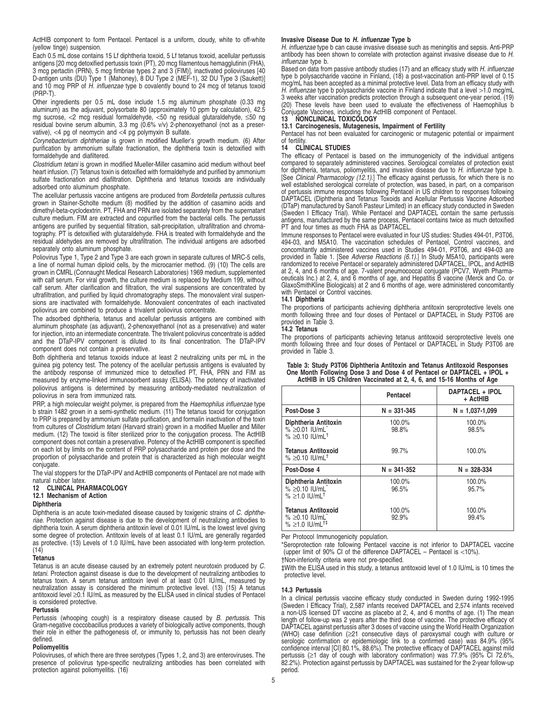ActHIB component to form Pentacel. Pentacel is a uniform, cloudy, white to off-white (yellow tinge) suspension.

Each 0.5 mL dose contains 15 Lf diphtheria toxoid, 5 Lf tetanus toxoid, acellular pertussis antigens [20 mcg detoxified pertussis toxin (PT), 20 mcg filamentous hemagglutinin (FHA), 3 mcg pertactin (PRN), 5 mcg fimbriae types 2 and 3 (FIM)], inactivated polioviruses [40 D-antigen units (DU) Type 1 (Mahoney), 8 DU Type 2 (MEF-1), 32 DU Type 3 (Saukett)] and 10 mcg PRP of H. influenzae type b covalently bound to 24 mcg of tetanus toxoid (PRP-T).

Other ingredients per 0.5 mL dose include 1.5 mg aluminum phosphate (0.33 mg aluminum) as the adjuvant, polysorbate 80 (approximately 10 ppm by calculation), 42.5 mg sucrose, <2 mcg residual formaldehyde, <50 ng residual glutaraldehyde, ≤50 ng residual bovine serum albumin, 3.3 mg (0.6% v/v) 2-phenoxyethanol (not as a preservative),  $<$ 4 pg of neomycin and  $<$ 4 pg polymyxin B sulfate.

Corynebacterium diphtheriae is grown in modified Mueller's growth medium. (6) After purification by ammonium sulfate fractionation, the diphtheria toxin is detoxified with formaldehyde and diafiltered.

Clostridium tetani is grown in modified Mueller-Miller casamino acid medium without beef heart infusion. (7) Tetanus toxin is detoxified with formaldehyde and purified by ammonium sulfate fractionation and diafiltration. Diphtheria and tetanus toxoids are individually adsorbed onto aluminum phosphate.

The acellular pertussis vaccine antigens are produced from Bordetella pertussis cultures grown in Stainer-Scholte medium (8) modified by the addition of casamino acids and dimethyl-beta-cyclodextrin. PT, FHA and PRN are isolated separately from the supernatant culture medium. FIM are extracted and copurified from the bacterial cells. The pertussis antigens are purified by sequential filtration, salt-precipitation, ultrafiltration and chromatography. PT is detoxified with glutaraldehyde. FHA is treated with formaldehyde and the residual aldehydes are removed by ultrafiltration. The individual antigens are adsorbed separately onto aluminum phosphate.

Poliovirus Type 1, Type 2 and Type 3 are each grown in separate cultures of MRC-5 cells, a line of normal human diploid cells, by the microcarrier method. (9) (10) The cells are grown in CMRL (Connaught Medical Research Laboratories) 1969 medium, supplemented with calf serum. For viral growth, the culture medium is replaced by Medium 199, without calf serum. After clarification and filtration, the viral suspensions are concentrated by ultrafiltration, and purified by liquid chromatography steps. The monovalent viral suspensions are inactivated with formaldehyde. Monovalent concentrates of each inactivated poliovirus are combined to produce a trivalent poliovirus concentrate.

The adsorbed diphtheria, tetanus and acellular pertussis antigens are combined with aluminum phosphate (as adjuvant), 2-phenoxyethanol (not as a preservative) and water for injection, into an intermediate concentrate. The trivalent poliovirus concentrate is added and the DTaP-IPV component is diluted to its final concentration. The DTaP-IPV component does not contain a preservative.

Both diphtheria and tetanus toxoids induce at least 2 neutralizing units per mL in the guinea pig potency test. The potency of the acellular pertussis antigens is evaluated by the antibody response of immunized mice to detoxified PT, FHA, PRN and FIM as measured by enzyme-linked immunosorbent assay (ELISA). The potency of inactivated poliovirus antigens is determined by measuring antibody-mediated neutralization of poliovirus in sera from immunized rats.

PRP, a high molecular weight polymer, is prepared from the Haemophilus influenzae type b strain 1482 grown in a semi-synthetic medium. (11) The tetanus toxoid for conjugation to PRP is prepared by ammonium sulfate purification, and formalin inactivation of the toxin from cultures of Clostridium tetani (Harvard strain) grown in a modified Mueller and Miller medium. (12) The toxoid is filter sterilized prior to the conjugation process. The ActHIB component does not contain a preservative. Potency of the ActHIB component is specified on each lot by limits on the content of PRP polysaccharide and protein per dose and the proportion of polysaccharide and protein that is characterized as high molecular weight conjugate.

The vial stoppers for the DTaP-IPV and ActHIB components of Pentacel are not made with natural rubber latex.

## **12 CLINICAL PHARMACOLOGY**

**12.1 Mechanism of Action**

## **Diphtheria**

Diphtheria is an acute toxin-mediated disease caused by toxigenic strains of C. diphtheriae. Protection against disease is due to the development of neutralizing antibodies to diphtheria toxin. A serum diphtheria antitoxin level of 0.01 IU/mL is the lowest level giving some degree of protection. Antitoxin levels of at least 0.1 IU/mL are generally regarded as protective. (13) Levels of 1.0 IU/mL have been associated with long-term protection.  $(14)$ 

## **Tetanus**

Tetanus is an acute disease caused by an extremely potent neurotoxin produced by C. tetani. Protection against disease is due to the development of neutralizing antibodies to tetanus toxin. A serum tetanus antitoxin level of at least 0.01 IU/mL, measured by neutralization assay is considered the minimum protective level. (13) (15) A tetanus antitoxoid level ≥0.1 IU/mL as measured by the ELISA used in clinical studies of Pentacel is considered protective.

## **Pertussis**

Pertussis (whooping cough) is a respiratory disease caused by B. pertussis. This Gram-negative coccobacillus produces a variety of biologically active components, though their role in either the pathogenesis of, or immunity to, pertussis has not been clearly defined.

#### **Poliomyelitis**

Polioviruses, of which there are three serotypes (Types 1, 2, and 3) are enteroviruses. The presence of poliovirus type-specific neutralizing antibodies has been correlated with protection against poliomyelitis. (16)

## **Invasive Disease Due to H. influenzae Type b**

H. influenzae type b can cause invasive disease such as meningitis and sepsis. Anti-PRP antibody has been shown to correlate with protection against invasive disease due to H. influenzae type b.

Based on data from passive antibody studies (17) and an efficacy study with H. *influenzae*<br>type b polysaccharide vaccine in Finland, (18) a post-vaccination anti-PRP level of 0.15 mcg/mL has been accepted as a minimal protective level. Data from an efficacy study with H. influenzae type b polysaccharide vaccine in Finland indicate that a level >1.0 mcg/mL 3 weeks after vaccination predicts protection through a subsequent one-year period. (19) (20) These levels have been used to evaluate the effectiveness of Haemophilus b Conjugate Vaccines, including the ActHIB component of Pentacel. **13 NONCLINICAL TOXICOLOGY**

## **13.1 Carcinogenesis, Mutagenesis, Impairment of Fertility**

Pentacel has not been evaluated for carcinogenic or mutagenic potential or impairment of fertility.

## **14 CLINICAL STUDIES**

The efficacy of Pentacel is based on the immunogenicity of the individual antigens compared to separately administered vaccines. Serological correlates of protection exist for diphtheria, tetanus, poliomyelitis, and invasive disease due to H*. influenzae* type b.<br>[See *Clinical Pharmacology (12.1)*.] The efficacy against pertussis, for which there is no well established serological correlate of protection, was based, in part, on a comparison<br>of pertussis immune responses following Pentacel in US children to responses following<br>DAPTACEL (Diphtheria and Tetanus Toxoids and (DTaP) manufactured by Sanofi Pasteur Limited) in an efficacy study conducted in Sweden<br>(Sweden T Efficacy Trial). While Pentacel and DAPTACEL contain the same pertussis<br>antigens, manufactured by the same process, Pentacel PT and four times as much FHA as DAPTACEL.

Immune responses to Pentacel were evaluated in four US studies: Studies 494-01, P3T06, 494-03, and M5A10. The vaccination schedules of Pentacel, Control vaccines, and concomitantly administered vaccines used in Studies 494-01, P3T06, and 494-03 are provided in Table 1. [See *Adverse Reactions (6.1)*.] In Study M5A10, participants were<br>randomized to receive Pentacel or separately administered DAPTACEL, IPOL, and ActHIB at 2, 4, and 6 months of age. 7-valent pneumococcal conjugate (PCV7, Wyeth Pharmaceuticals Inc.) at 2, 4, and 6 months of age, and Hepatitis B vaccine (Merck and Co. or GlaxoSmithKline Biologicals) at 2 and 6 months of age, were administered concomitantly with Pentacel or Control vaccines.

## **14.1 Diphtheria**

The proportions of participants achieving diphtheria antitoxin seroprotective levels one month following three and four doses of Pentacel or DAPTACEL in Study P3T06 are provided in Table 3.

#### **14.2 Tetanus**

The proportions of participants achieving tetanus antitoxoid seroprotective levels one month following three and four doses of Pentacel or DAPTACEL in Study P3T06 are provided in Table 3.

| Table 3: Study P3T06 Diphtheria Antitoxin and Tetanus Antitoxoid Responses |
|----------------------------------------------------------------------------|
| One Month Following Dose 3 and Dose 4 of Pentacel or DAPTACEL + IPOL +     |
| ActHIB in US Children Vaccinated at 2, 4, 6, and 15-16 Months of Age       |

|                                                                               | Pentacel        | DAPTACEL + IPOL<br>+ ActHIB |
|-------------------------------------------------------------------------------|-----------------|-----------------------------|
| Post-Dose 3                                                                   | $N = 331 - 345$ | $N = 1.037 - 1.099$         |
| Diphtheria Antitoxin<br>$\%$ >0.01 IU/mL<br>$\% > 0.10$ IU/mL <sup>+</sup>    | 100.0%<br>98.8% | 100.0%<br>98.5%             |
| Tetanus Antitoxoid<br>$\% > 0.10$ IU/mL <sup>t</sup>                          | 99.7%           | 100.0%                      |
| Post-Dose 4                                                                   | $N = 341 - 352$ | $N = 328 - 334$             |
| Diphtheria Antitoxin<br>% ≥0.10 $ U/mL^*$<br>$\% \ge 1.0$ IU/mL <sup>t</sup>  | 100.0%<br>96.5% | 100.0%<br>95.7%             |
| <b>Tetanus Antitoxoid</b><br>$% > 0.10$ IU/mL<br>$% >1.0$ IU/mL <sup>†‡</sup> | 100.0%<br>92.9% | 100.0%<br>99.4%             |

Per Protocol Immunogenicity population.

\*Seroprotection rate following Pentacel vaccine is not inferior to DAPTACEL vaccine (upper limit of 90% CI of the difference DAPTACEL – Pentacel is <10%).

†Non-inferiority criteria were not pre-specified.

‡With the ELISA used in this study, a tetanus antitoxoid level of 1.0 IU/mL is 10 times the protective level.

### **14.3 Pertussis**

In a clinical pertussis vaccine efficacy study conducted in Sweden during 1992-1995 (Sweden I Efficacy Trial), 2,587 infants received DAPTACEL and 2,574 infants received a non-US licensed DT vaccine as placebo at 2, 4, and 6 months of age. (1) The mean length of follow-up was 2 years after the third dose of vaccine. The protective efficacy of DAPTACEL against pertussis after 3 doses of vaccine using the World Health Organization (WHO) case definition (≥21 consecutive days of paroxysmal cough with culture or serologic confirmation or epidemiologic link to a confirmed case) was 84.9% (95% confidence interval [CI] 80.1%, 88.6%). The protective efficacy of DAPTACEL against mild pertussis (≥1 day of cough with laboratory confirmation) was 77.9% (95% CI 72.6%, 82.2%). Protection against pertussis by DAPTACEL was sustained for the 2-year follow-up period.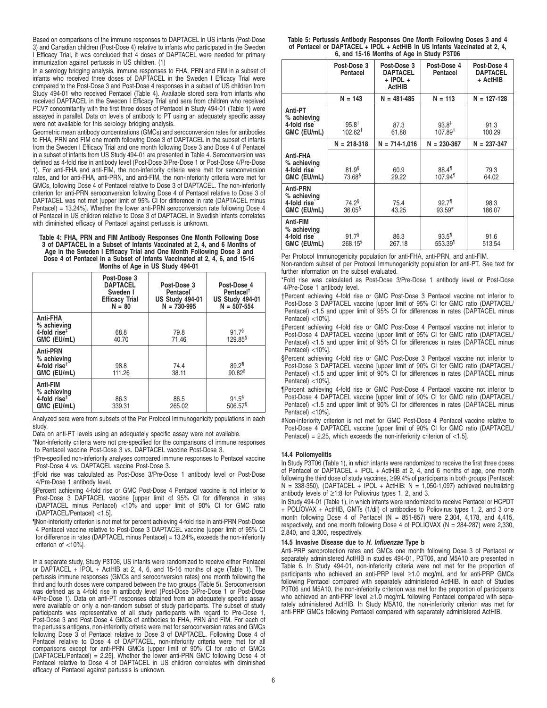Based on comparisons of the immune responses to DAPTACEL in US infants (Post-Dose 3) and Canadian children (Post-Dose 4) relative to infants who participated in the Sweden I Efficacy Trial, it was concluded that 4 doses of DAPTACEL were needed for primary immunization against pertussis in US children. (1)

In a serology bridging analysis, immune responses to FHA, PRN and FIM in a subset of infants who received three doses of DAPTACEL in the Sweden I Efficacy Trial were compared to the Post-Dose 3 and Post-Dose 4 responses in a subset of US children from Study 494-01 who received Pentacel (Table 4). Available stored sera from infants who received DAPTACEL in the Sweden I Efficacy Trial and sera from children who received PCV7 concomitantly with the first three doses of Pentacel in Study 494-01 (Table 1) were assayed in parallel. Data on levels of antibody to PT using an adequately specific assay were not available for this serology bridging analysis.

Geometric mean antibody concentrations (GMCs) and seroconversion rates for antibodies to FHA, PRN and FIM one month following Dose 3 of DAPTACEL in the subset of infants from the Sweden I Efficacy Trial and one month following Dose 3 and Dose 4 of Pentacel in a subset of infants from US Study 494-01 are presented in Table 4. Seroconversion was defined as 4-fold rise in antibody level (Post-Dose 3/Pre-Dose 1 or Post-Dose 4/Pre-Dose 1). For anti-FHA and anti-FIM, the non-inferiority criteria were met for seroconversion rates, and for anti-FHA, anti-PRN, and anti-FIM, the non-inferiority criteria were met for GMCs, following Dose 4 of Pentacel relative to Dose 3 of DAPTACEL. The non-inferiority criterion for anti-PRN seroconversion following Dose 4 of Pentacel relative to Dose 3 of DAPTACEL was not met [upper limit of 95% CI for difference in rate (DAPTACEL minus Pentacel) = 13.24%]. Whether the lower anti-PRN seroconversion rate following Dose 4 of Pentacel in US children relative to Dose 3 of DAPTACEL in Swedish infants correlates with diminished efficacy of Pentacel against pertussis is unknown.

**Table 4: FHA, PRN and FIM Antibody Responses One Month Following Dose 3 of DAPTACEL in a Subset of Infants Vaccinated at 2, 4, and 6 Months of Age in the Sweden I Efficacy Trial and One Month Following Dose 3 and Dose 4 of Pentacel in a Subset of Infants Vaccinated at 2, 4, 6, and 15-16 Months of Age in US Study 494-01**

|                                                                            | Post-Dose 3<br><b>DAPTACEL</b><br>Sweden I<br><b>Efficacy Trial</b><br>$N = 80$ | Post-Dose 3<br>Pentacel<br><b>US Study 494-01</b><br>$N = 730 - 995$ | Post-Dose 4<br>Pentacel <sup>+</sup><br><b>US Study 494-01</b><br>$N = 507 - 554$ |
|----------------------------------------------------------------------------|---------------------------------------------------------------------------------|----------------------------------------------------------------------|-----------------------------------------------------------------------------------|
| Anti-FHA<br>% achieving<br>4-fold rise $†$<br>GMC (EU/mL)                  | 68.8<br>40.70                                                                   | 79.8<br>71.46                                                        | 91.7 <sup>§</sup><br>129.85 <sup>§</sup>                                          |
| <b>Anti-PRN</b><br>% achieving<br>4-fold rise $^{\ddagger}$<br>GMC (EU/mL) | 98.8<br>111.26                                                                  | 74.4<br>38.11                                                        | $89.2$ <sup>11</sup><br>$90.82$ <sup>§</sup>                                      |
| Anti-FIM<br>% achieving<br>4-fold rise $^{\ddagger}$<br>GMC (EU/mL)        | 86.3<br>339.31                                                                  | 86.5<br>265.02                                                       | $91.5^{\$}$<br>506.57 <sup>§</sup>                                                |

Analyzed sera were from subsets of the Per Protocol Immunogenicity populations in each study.

- Data on anti-PT levels using an adequately specific assay were not available.
- \*Non-inferiority criteria were not pre-specified for the comparisons of immune responses to Pentacel vaccine Post-Dose 3 vs. DAPTACEL vaccine Post-Dose 3.

†Pre-specified non-inferiority analyses compared immune responses to Pentacel vaccine Post-Dose 4 vs. DAPTACEL vaccine Post-Dose 3.

‡Fold rise was calculated as Post-Dose 3/Pre-Dose 1 antibody level or Post-Dose 4/Pre-Dose 1 antibody level.

- §Percent achieving 4-fold rise or GMC Post-Dose 4 Pentacel vaccine is not inferior to Post-Dose 3 DAPTACEL vaccine [upper limit of 95% CI for difference in rates (DAPTACEL minus Pentacel) <10% and upper limit of 90% CI for GMC ratio (DAPTACEL/Pentacel) <1.5].
- ¶Non-inferiority criterion is not met for percent achieving 4-fold rise in anti-PRN Post-Dose 4 Pentacel vaccine relative to Post-Dose 3 DAPTACEL vaccine [upper limit of 95% CI for difference in rates (DAPTACEL minus Pentacel) = 13.24%, exceeds the non-inferiority criterion of <10%].

In a separate study, Study P3T06, US infants were randomized to receive either Pentacel or DAPTACEL + IPOL + ActHIB at 2, 4, 6, and 15-16 months of age (Table 1). The pertussis immune responses (GMCs and seroconversion rates) one month following the third and fourth doses were compared between the two groups (Table 5). Seroconversion was defined as a 4-fold rise in antibody level (Post-Dose 3/Pre-Dose 1 or Post-Dose 4/Pre-Dose 1). Data on anti-PT responses obtained from an adequately specific assay were available on only a non-random subset of study participants. The subset of study participants was representative of all study participants with regard to Pre-Dose 1, Post-Dose 3 and Post-Dose 4 GMCs of antibodies to FHA, PRN and FIM. For each of the pertussis antigens, non-inferiority criteria were met for seroconversion rates and GMCs following Dose 3 of Pentacel relative to Dose 3 of DAPTACEL. Following Dose 4 of Pentacel relative to Dose 4 of DAPTACEL, non-inferiority criteria were met for all comparisons except for anti-PRN GMCs [upper limit of 90% CI for ratio of GMCs (DAPTACEL/Pentacel) = 2.25]. Whether the lower anti-PRN GMC following Dose 4 of Pentacel relative to Dose 4 of DAPTACEL in US children correlates with diminished efficacy of Pentacel against pertussis is unknown.

**Table 5: Pertussis Antibody Responses One Month Following Doses 3 and 4 of Pentacel or DAPTACEL + IPOL + ActHIB in US Infants Vaccinated at 2, 4, 6, and 15-16 Months of Age in Study P3T06**

|                                                                   | Post-Dose 3<br>Pentacel                 | Post-Dose 3<br><b>DAPTACEL</b><br>$+$ IPOL $+$<br><b>ActHIB</b> | Post-Dose 4<br>Pentacel                     | Post-Dose 4<br><b>DAPTACEL</b><br>+ ActHIB |
|-------------------------------------------------------------------|-----------------------------------------|-----------------------------------------------------------------|---------------------------------------------|--------------------------------------------|
|                                                                   | $N = 143$                               | $N = 481 - 485$                                                 | $N = 113$                                   | $N = 127 - 128$                            |
| Anti-PT<br>% achieving<br>4-fold rise <sup>-</sup><br>GMC (EU/mL) | $95.8^{+}$<br>$102.62^{\dagger}$        | 87.3<br>61.88                                                   | $93.8^+$<br>107.89 <sup>‡</sup>             | 91.3<br>100.29                             |
|                                                                   | $N = 218 - 318$                         | $N = 714 - 1,016$                                               | $N = 230 - 367$                             | $N = 237 - 347$                            |
| Anti-FHA<br>% achieving<br>4-fold rise<br>GMC (EU/mL)             | 81.9 <sup>§</sup><br>73.68 <sup>§</sup> | 60.9<br>29.22                                                   | $88.4$ <sup>11</sup><br>107.94 <sup>1</sup> | 79.3<br>64.02                              |
| Anti-PRN<br>% achieving<br>4-fold rise<br>GMC (EU/mL)             | $74.2^{\$}$<br>$36.05^{\$}$             | 75.4<br>43.25                                                   | 92.7 <sup>1</sup><br>$93.59$ <sup>#</sup>   | 98.3<br>186.07                             |
| Anti-FIM<br>% achieving<br>4-fold rise<br>GMC (EU/mL)             | 91.7 <sup>§</sup><br>$268.15^{\$}$      | 86.3<br>267.18                                                  | $93.5$ <sup>11</sup><br>553.39 <sup>1</sup> | 91.6<br>513.54                             |

Per Protocol Immunogenicity population for anti-FHA, anti-PRN, and anti-FIM.

Non-random subset of per Protocol Immunogenicity population for anti-PT. See text for further information on the subset evaluated.

\*Fold rise was calculated as Post-Dose 3/Pre-Dose 1 antibody level or Post-Dose 4/Pre-Dose 1 antibody level.

†Percent achieving 4-fold rise or GMC Post-Dose 3 Pentacel vaccine not inferior to Post-Dose 3 DAPTACEL vaccine [upper limit of 95% CI for GMC ratio (DAPTACEL/ Pentacel) <1.5 and upper limit of 95% CI for differences in rates (DAPTACEL minus Pentacel) <10%].

‡Percent achieving 4-fold rise or GMC Post-Dose 4 Pentacel vaccine not inferior to Post-Dose 4 DAPTACEL vaccine [upper limit of 95% CI for GMC ratio (DAPTACEL/ Pentacel) <1.5 and upper limit of 95% CI for differences in rates (DAPTACEL minus Pentacel) <10%].

- §Percent achieving 4-fold rise or GMC Post-Dose 3 Pentacel vaccine not inferior to Post-Dose 3 DAPTACEL vaccine [upper limit of 90% CI for GMC ratio (DAPTACEL/ Pentacel) <1.5 and upper limit of 90% CI for differences in rates (DAPTACEL minus Pentacel) <10%].
- ¶Percent achieving 4-fold rise or GMC Post-Dose 4 Pentacel vaccine not inferior to Post-Dose 4 DAPTACEL vaccine [upper limit of 90% CI for GMC ratio (DAPTACEL/ Pentacel) <1.5 and upper limit of 90% CI for differences in rates (DAPTACEL minus Pentacel) <10%].
- #Non-inferiority criterion is not met for GMC Post-Dose 4 Pentacel vaccine relative to Post-Dose 4 DAPTACEL vaccine [upper limit of 90% CI for GMC ratio (DAPTACEL/ Pentacel) = 2.25, which exceeds the non-inferiority criterion of  $<$ 1.5].

## **14.4 Poliomyelitis**

In Study P3T06 (Table 1), in which infants were randomized to receive the first three doses of Pentacel or DAPTACEL + IPOL + ActHIB at 2, 4, and 6 months of age, one month following the third dose of study vaccines, ≥99.4% of participants in both groups (Pentacel: N = 338-350), (DAPTACEL + IPOL + ActHIB: N = 1,050-1,097) achieved neutralizing antibody levels of ≥1:8 for Poliovirus types 1, 2, and 3.

In Study 494-01 (Table 1), in which infants were randomized to receive Pentacel or HCPDT + POLIOVAX + ActHIB, GMTs (1/dil) of antibodies to Poliovirus types 1, 2, and 3 one month following Dose 4 of Pentacel  $(N = 851-857)$  were 2,304, 4,178, and 4,415, respectively, and one month following Dose 4 of POLIOVAX (N = 284-287) were 2,330, 2,840, and 3,300, respectively.

#### **14.5 Invasive Disease due to H. Influenzae Type b**

Anti-PRP seroprotection rates and GMCs one month following Dose 3 of Pentacel or separately administered ActHIB in studies 494-01, P3T06, and M5A10 are presented in Table 6. In Study 494-01, non-inferiority criteria were not met for the proportion of participants who achieved an anti-PRP level ≥1.0 mcg/mL and for anti-PRP GMCs following Pentacel compared with separately administered ActHIB. In each of Studies P3T06 and M5A10, the non-inferiority criterion was met for the proportion of participants who achieved an anti-PRP level ≥1.0 mcg/mL following Pentacel compared with separately administered ActHIB. In Study M5A10, the non-inferiority criterion was met for anti-PRP GMCs following Pentacel compared with separately administered ActHIB.